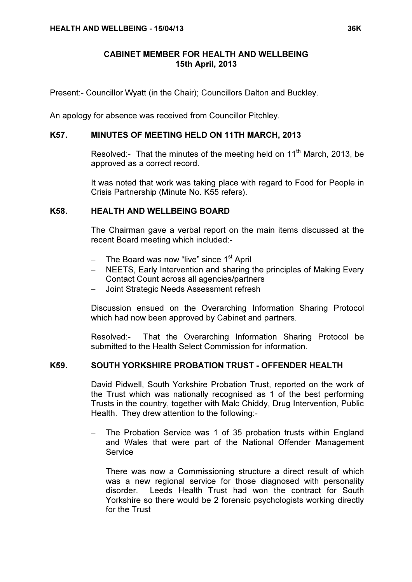Present:- Councillor Wyatt (in the Chair); Councillors Dalton and Buckley.

An apology for absence was received from Councillor Pitchley.

## K57. MINUTES OF MEETING HELD ON 11TH MARCH, 2013

Resolved:- That the minutes of the meeting held on 11<sup>th</sup> March, 2013, be approved as a correct record.

> It was noted that work was taking place with regard to Food for People in Crisis Partnership (Minute No. K55 refers).

## K58. HEALTH AND WELLBEING BOARD

 The Chairman gave a verbal report on the main items discussed at the recent Board meeting which included:-

- − The Board was now "live" since 1<sup>st</sup> April
- − NEETS, Early Intervention and sharing the principles of Making Every Contact Count across all agencies/partners
- − Joint Strategic Needs Assessment refresh

Discussion ensued on the Overarching Information Sharing Protocol which had now been approved by Cabinet and partners.

Resolved:- That the Overarching Information Sharing Protocol be submitted to the Health Select Commission for information.

# K59. SOUTH YORKSHIRE PROBATION TRUST - OFFENDER HEALTH

 David Pidwell, South Yorkshire Probation Trust, reported on the work of the Trust which was nationally recognised as 1 of the best performing Trusts in the country, together with Malc Chiddy, Drug Intervention, Public Health. They drew attention to the following:-

- The Probation Service was 1 of 35 probation trusts within England and Wales that were part of the National Offender Management Service
- − There was now a Commissioning structure a direct result of which was a new regional service for those diagnosed with personality disorder. Leeds Health Trust had won the contract for South Yorkshire so there would be 2 forensic psychologists working directly for the Trust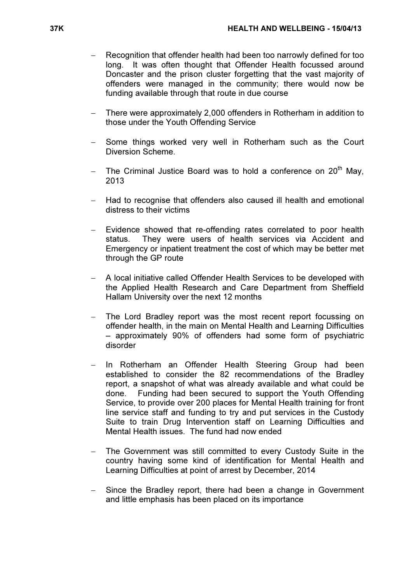- Recognition that offender health had been too narrowly defined for too long. It was often thought that Offender Health focussed around Doncaster and the prison cluster forgetting that the vast majority of offenders were managed in the community; there would now be funding available through that route in due course
- − There were approximately 2,000 offenders in Rotherham in addition to those under the Youth Offending Service
- Some things worked very well in Rotherham such as the Court Diversion Scheme.
- The Criminal Justice Board was to hold a conference on  $20<sup>th</sup>$  May, 2013
- − Had to recognise that offenders also caused ill health and emotional distress to their victims
- Evidence showed that re-offending rates correlated to poor health status. They were users of health services via Accident and Emergency or inpatient treatment the cost of which may be better met through the GP route
- − A local initiative called Offender Health Services to be developed with the Applied Health Research and Care Department from Sheffield Hallam University over the next 12 months
- The Lord Bradley report was the most recent report focussing on offender health, in the main on Mental Health and Learning Difficulties – approximately 90% of offenders had some form of psychiatric disorder
- In Rotherham an Offender Health Steering Group had been established to consider the 82 recommendations of the Bradley report, a snapshot of what was already available and what could be done. Funding had been secured to support the Youth Offending Service, to provide over 200 places for Mental Health training for front line service staff and funding to try and put services in the Custody Suite to train Drug Intervention staff on Learning Difficulties and Mental Health issues. The fund had now ended
- − The Government was still committed to every Custody Suite in the country having some kind of identification for Mental Health and Learning Difficulties at point of arrest by December, 2014
- Since the Bradley report, there had been a change in Government and little emphasis has been placed on its importance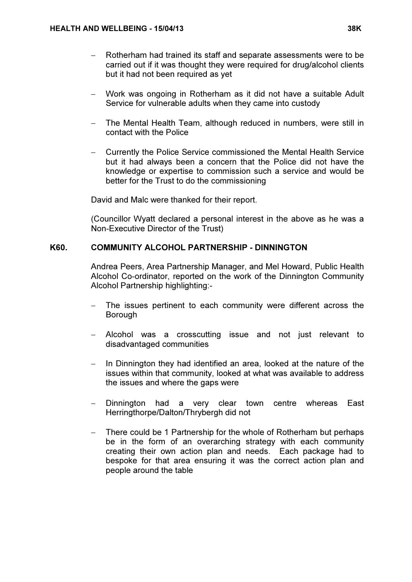- − Rotherham had trained its staff and separate assessments were to be carried out if it was thought they were required for drug/alcohol clients but it had not been required as yet
- − Work was ongoing in Rotherham as it did not have a suitable Adult Service for vulnerable adults when they came into custody
- The Mental Health Team, although reduced in numbers, were still in contact with the Police
- − Currently the Police Service commissioned the Mental Health Service but it had always been a concern that the Police did not have the knowledge or expertise to commission such a service and would be better for the Trust to do the commissioning

David and Malc were thanked for their report.

(Councillor Wyatt declared a personal interest in the above as he was a Non-Executive Director of the Trust)

## K60. COMMUNITY ALCOHOL PARTNERSHIP - DINNINGTON

 Andrea Peers, Area Partnership Manager, and Mel Howard, Public Health Alcohol Co-ordinator, reported on the work of the Dinnington Community Alcohol Partnership highlighting:-

- The issues pertinent to each community were different across the Borough
- − Alcohol was a crosscutting issue and not just relevant to disadvantaged communities
- − In Dinnington they had identified an area, looked at the nature of the issues within that community, looked at what was available to address the issues and where the gaps were
- Dinnington had a very clear town centre whereas East Herringthorpe/Dalton/Thrybergh did not
- There could be 1 Partnership for the whole of Rotherham but perhaps be in the form of an overarching strategy with each community creating their own action plan and needs. Each package had to bespoke for that area ensuring it was the correct action plan and people around the table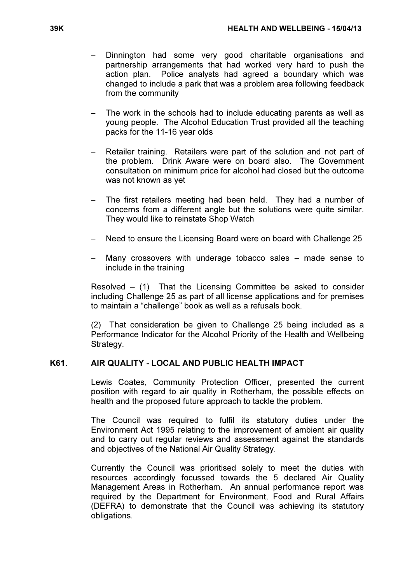- Dinnington had some very good charitable organisations and partnership arrangements that had worked very hard to push the action plan. Police analysts had agreed a boundary which was changed to include a park that was a problem area following feedback from the community
- The work in the schools had to include educating parents as well as young people. The Alcohol Education Trust provided all the teaching packs for the 11-16 year olds
- Retailer training. Retailers were part of the solution and not part of the problem. Drink Aware were on board also. The Government consultation on minimum price for alcohol had closed but the outcome was not known as yet
- The first retailers meeting had been held. They had a number of concerns from a different angle but the solutions were quite similar. They would like to reinstate Shop Watch
- − Need to ensure the Licensing Board were on board with Challenge 25
- Many crossovers with underage tobacco sales made sense to include in the training

Resolved  $-$  (1) That the Licensing Committee be asked to consider including Challenge 25 as part of all license applications and for premises to maintain a "challenge" book as well as a refusals book.

(2) That consideration be given to Challenge 25 being included as a Performance Indicator for the Alcohol Priority of the Health and Wellbeing Strategy.

# K61. AIR QUALITY - LOCAL AND PUBLIC HEALTH IMPACT

 Lewis Coates, Community Protection Officer, presented the current position with regard to air quality in Rotherham, the possible effects on health and the proposed future approach to tackle the problem.

The Council was required to fulfil its statutory duties under the Environment Act 1995 relating to the improvement of ambient air quality and to carry out regular reviews and assessment against the standards and objectives of the National Air Quality Strategy.

Currently the Council was prioritised solely to meet the duties with resources accordingly focussed towards the 5 declared Air Quality Management Areas in Rotherham. An annual performance report was required by the Department for Environment, Food and Rural Affairs (DEFRA) to demonstrate that the Council was achieving its statutory obligations.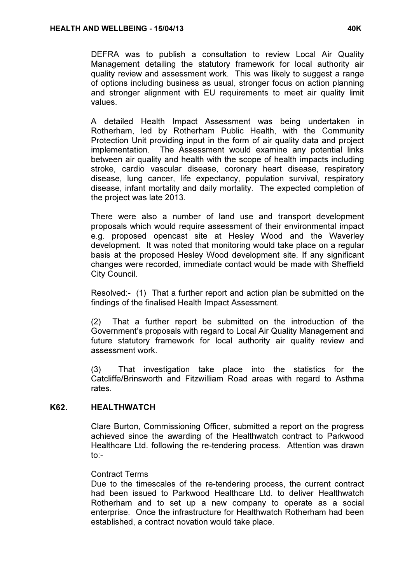DEFRA was to publish a consultation to review Local Air Quality Management detailing the statutory framework for local authority air quality review and assessment work. This was likely to suggest a range of options including business as usual, stronger focus on action planning and stronger alignment with EU requirements to meet air quality limit values.

A detailed Health Impact Assessment was being undertaken in Rotherham, led by Rotherham Public Health, with the Community Protection Unit providing input in the form of air quality data and project implementation. The Assessment would examine any potential links between air quality and health with the scope of health impacts including stroke, cardio vascular disease, coronary heart disease, respiratory disease, lung cancer, life expectancy, population survival, respiratory disease, infant mortality and daily mortality. The expected completion of the project was late 2013.

There were also a number of land use and transport development proposals which would require assessment of their environmental impact e.g. proposed opencast site at Hesley Wood and the Waverley development. It was noted that monitoring would take place on a regular basis at the proposed Hesley Wood development site. If any significant changes were recorded, immediate contact would be made with Sheffield City Council.

Resolved:- (1) That a further report and action plan be submitted on the findings of the finalised Health Impact Assessment.

(2) That a further report be submitted on the introduction of the Government's proposals with regard to Local Air Quality Management and future statutory framework for local authority air quality review and assessment work.

(3) That investigation take place into the statistics for the Catcliffe/Brinsworth and Fitzwilliam Road areas with regard to Asthma rates.

# K62. HEALTHWATCH

 Clare Burton, Commissioning Officer, submitted a report on the progress achieved since the awarding of the Healthwatch contract to Parkwood Healthcare Ltd. following the re-tendering process. Attention was drawn to:-

#### Contract Terms

Due to the timescales of the re-tendering process, the current contract had been issued to Parkwood Healthcare Ltd. to deliver Healthwatch Rotherham and to set up a new company to operate as a social enterprise. Once the infrastructure for Healthwatch Rotherham had been established, a contract novation would take place.